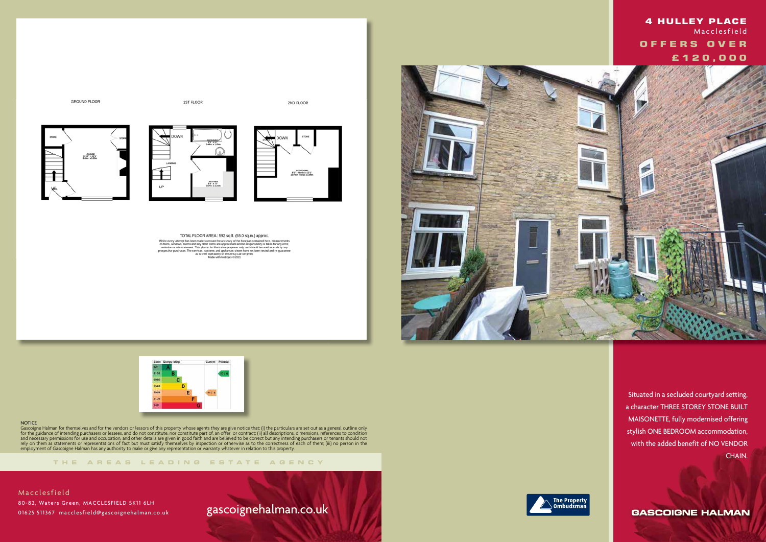





2ND FLOOR







TOTAL FLOOR AREA: 592 sq.ft. (55.0 sq.m.) approx. Whilst every attempt has been made to ensure the accuracy of the floorplan contained here, measurements<br>of doors, windows, now the measurements of doors, windows, noons and any other literas are approximate and no responsi



#### **NOTICE**

**THE AREA S LEADING ES T A TE A G E N C Y**

Gascoigne Halman for themselves and for the vendors or lessors of this property whose agents they are give notice that: (i) the particulars are set out as a general outline only for the guidance of intending purchasers or lessees, and do not constitute, nor constitute part of, an offer or contract; (ii) all descriptions, dimensions, references to condition and necessary permissions for use and occupation, and other details are given in good faith and are believed to be correct but any intending purchasers or tenants should not rely on them as statements or representations of fact but must satisfy themselves by inspection or otherwise as to the correctness of each of them; (iii) no person in the employment of Gascoigne Halman has any authority to make or give any representation or warranty whatever in relation to this property.

## gascoignehalman.co.uk





 Situated in a secluded courtyard setting, a character THREE STOREY STONE BUILT MAISONETTE, fully modernised offering stylish ONE BEDROOM accommodation, with the added benefit of NO VENDOR CHAIN.

**GASCOIGNE HALMAN** 

## **4 HULLEY PLACE**  Macclesfield  **OFFERS OVER £ 1 2 0 , 0 0 0**